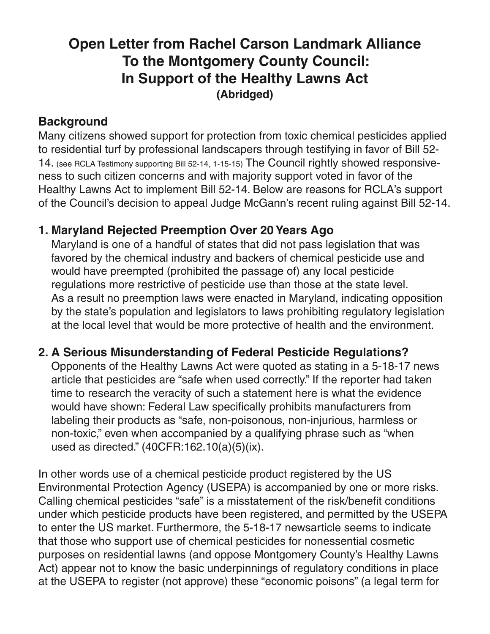# **Open Letter from Rachel Carson Landmark Alliance To the Montgomery County Council: In Support of the Healthy Lawns Act (Abridged)**

#### **Background**

Many citizens showed support for protection from toxic chemical pesticides applied to residential turf by professional landscapers through testifying in favor of Bill 52- 14. (see RCLA Testimony [supporting](http://rachelcarsonlandmarkalliance.org/rcla-reporting/issues-and-insights/testimony-supporting-bill-52-14-from-january-15th-hearing/) Bill 52-14, 1-15-15) The Council rightly showed responsiveness to such citizen concerns and with majority support voted in favor of the Healthy Lawns Act to implement Bill 52-14. Below are reasons for RCLA's support of the Council's decision to appeal Judge McGann's recent ruling against Bill 52-14.

#### **1. Maryland Rejected Preemption Over 20Years Ago**

Maryland is one of a handful of states that did not pass legislation that was favored by the chemical industry and backers of chemical pesticide use and would have preempted (prohibited the passage of) any local pesticide regulations more restrictive of pesticide use than those at the state level. As a result no preemption laws were enacted in Maryland, indicating opposition by the state's population and legislators to laws prohibiting regulatory legislation at the local level that would be more protective of health and the environment.

## **2. A Serious Misunderstanding of Federal Pesticide Regulations?**

Opponents of the Healthy Lawns Act were quoted as stating in a 5-18-17 news article that pesticides are "safe when used correctly." If the reporter had taken time to research the veracity of such a statement here is what the evidence would have shown: Federal Law specifically prohibits manufacturers from labeling their products as "safe, non-poisonous, non-injurious, harmless or non-toxic," even when accompanied by a qualifying phrase such as "when used as directed." (40CFR:162.10(a)(5)(ix).

In other words use of a chemical pesticide product registered by the US Environmental Protection Agency (USEPA) is accompanied by one or more risks. Calling chemical pesticides "safe" is a misstatement of the risk/benefit conditions under which pesticide products have been registered, and permitted by the USEPA to enter the US market. Furthermore, the 5-18-17 newsarticle seems to indicate that those who support use of chemical pesticides for nonessential cosmetic purposes on residential lawns (and oppose Montgomery County's Healthy Lawns Act) appear not to know the basic underpinnings of regulatory conditions in place at the USEPA to register (not approve) these "economic poisons" (a legal term for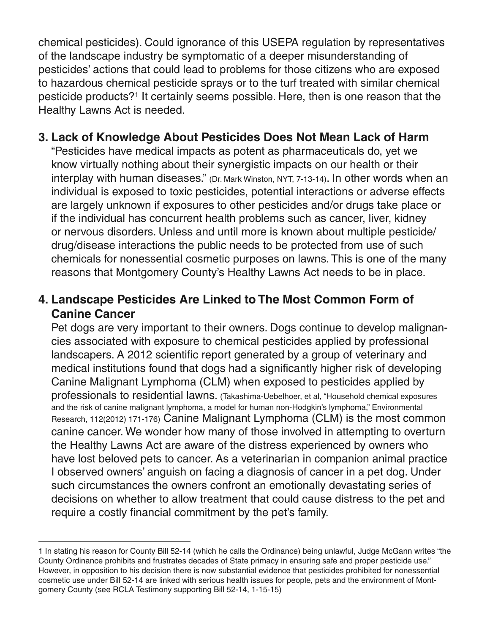chemical pesticides). Could ignorance of this USEPA regulation by representatives of the landscape industry be symptomatic of a deeper misunderstanding of pesticides' actions that could lead to problems for those citizens who are exposed to hazardous chemical pesticide sprays or to the turf treated with similar chemical pesticide products?1 It certainly seems possible. Here, then is one reason that the Healthy Lawns Act is needed.

#### **3. Lack of Knowledge About Pesticides Does Not Mean Lack of Harm**

"Pesticides have medical impacts as potent as pharmaceuticals do, yet we know virtually nothing about their synergistic impacts on our health or their interplay with human diseases." (Dr. Mark Winston, NYT, 7-13-14). In other words when an individual is exposed to toxic pesticides, potential interactions or adverse effects are largely unknown if exposures to other pesticides and/or drugs take place or if the individual has concurrent health problems such as cancer, liver, kidney or nervous disorders. Unless and until more is known about multiple pesticide/ drug/disease interactions the public needs to be protected from use of such chemicals for nonessential cosmetic purposes on lawns. This is one of the many reasons that Montgomery County's Healthy Lawns Act needs to be in place.

## **4. Landscape Pesticides Are Linked to The Most Common Form of Canine Cancer**

Pet dogs are very important to their owners. Dogs continue to develop malignancies associated with exposure to chemical pesticides applied by professional landscapers. A 2012 scientific report generated by a group of veterinary and medical institutions found that dogs had a significantly higher risk of developing Canine Malignant Lymphoma (CLM) when exposed to pesticides applied by professionals to residential lawns. (Takashima-Uebelhoer, et al, "Household chemical exposures and the risk of canine malignant lymphoma, a model for human non-Hodgkin's lymphoma," Environmental Research, 112(2012) 171-176) Canine Malignant Lymphoma (CLM) is the most common canine cancer. We wonder how many of those involved in attempting to overturn the Healthy Lawns Act are aware of the distress experienced by owners who have lost beloved pets to cancer. As a veterinarian in companion animal practice I observed owners' anguish on facing a diagnosis of cancer in a pet dog. Under such circumstances the owners confront an emotionally devastating series of decisions on whether to allow treatment that could cause distress to the pet and require a costly financial commitment by the pet's family.

<sup>1</sup> In stating his reason for County Bill 52-14 (which he calls the Ordinance) being unlawful, Judge McGann writes "the County Ordinance prohibits and frustrates decades of State primacy in ensuring safe and proper pesticide use." However, in opposition to his decision there is now substantial evidence that pesticides prohibited for nonessential cosmetic use under Bill 52-14 are linked with serious health issues for people, pets and the environment of Montgomery County (see RCLA Testimony supporting Bill 52-14, 1-15-15)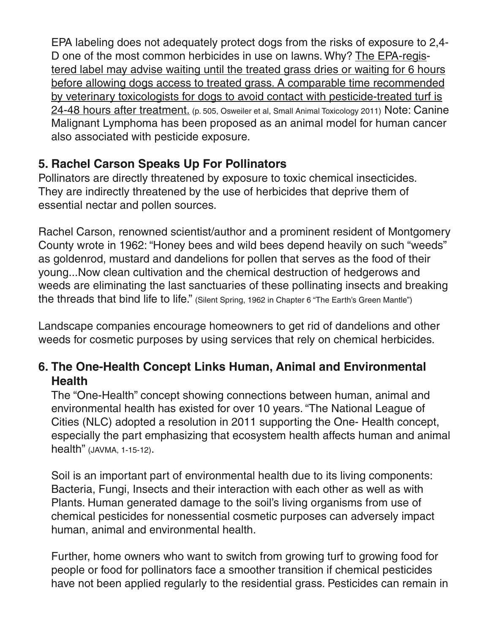EPA labeling does not adequately protect dogs from the risks of exposure to 2,4- D one of the most common herbicides in use on lawns. Why? The EPA-registered label may advise waiting until the treated grass dries or waiting for 6 hours before allowing dogs access to treated grass. A comparable time recommended by veterinary toxicologists for dogs to avoid contact with pesticide-treated turf is 24-48 hours after treatment. (p. 505, Osweiler et al, Small Animal Toxicology 2011) Note: Canine Malignant Lymphoma has been proposed as an animal model for human cancer also associated with pesticide exposure.

# **5. Rachel Carson Speaks Up For Pollinators**

Pollinators are directly threatened by exposure to toxic chemical insecticides. They are indirectly threatened by the use of herbicides that deprive them of essential nectar and pollen sources.

Rachel Carson, renowned scientist/author and a prominent resident of Montgomery County wrote in 1962: "Honey bees and wild bees depend heavily on such "weeds" as goldenrod, mustard and dandelions for pollen that serves as the food of their young...Now clean cultivation and the chemical destruction of hedgerows and weeds are eliminating the last sanctuaries of these pollinating insects and breaking the threads that bind life to life." (Silent Spring, 1962 in Chapter 6 "The Earth's Green Mantle")

Landscape companies encourage homeowners to get rid of dandelions and other weeds for cosmetic purposes by using services that rely on chemical herbicides.

## **6. The One-Health Concept Links Human, Animal and Environmental Health**

The "One-Health" concept showing connections between human, animal and environmental health has existed for over 10 years. "The National League of Cities (NLC) adopted a resolution in 2011 supporting the One- Health concept, especially the part emphasizing that ecosystem health affects human and animal health" (JAVMA, 1-15-12).

Soil is an important part of environmental health due to its living components: Bacteria, Fungi, Insects and their interaction with each other as well as with Plants. Human generated damage to the soil's living organisms from use of chemical pesticides for nonessential cosmetic purposes can adversely impact human, animal and environmental health.

Further, home owners who want to switch from growing turf to growing food for people or food for pollinators face a smoother transition if chemical pesticides have not been applied regularly to the residential grass. Pesticides can remain in